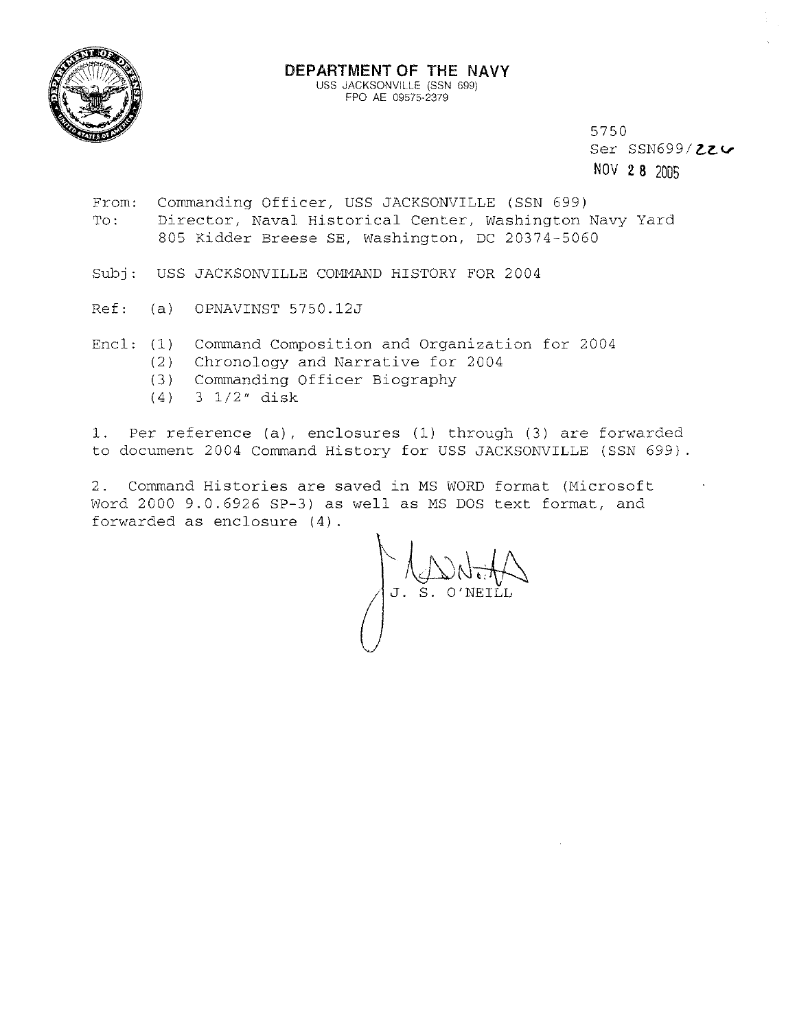

## **DEPARTMENT OF THE NAVY**  USS JACKSONVILLE (SSN 699)

FPO AE 09575-2379

5750 Ser SSN699/226 NOV 2 **8** <sup>2005</sup>

- From: Commanding Officer, USS JACKSONVILLE (SSN 699) To: Director, Naval Historical Center, Washington Navy Yard 805 Kidder Breese SE, Washington, DC 20374-5060
- Subj: USS JACKSONVILLE COMMAND HISTORY FOR 2004
- Ref: (a) OPNAVINST 5750.12J
- Encl: (1) Command Composition and Organization for 2004
	- (2) Chronology and Narrative for 2004
	- $(3)$ Commanding Officer Biography
	- $(4)$ 3 1/2" disk

1. Per reference (a), enclosures (1) through (3) are forwarded to document 2004 Command History for USS JACKSONVILLE (SSN 699).

2. Command Histories are saved in MS WORD format (Microsoft word 2000 9.0.6926 SP-3) as well as MS DOS text format, and forwarded as enclosure (4).

 $\bigcup_{\lambda\in\mathcal{A}}\bigcup_{\lambda\in\mathcal{A}}\bigcup_{\lambda\in\mathcal{A}}$ J. S. O'NEILL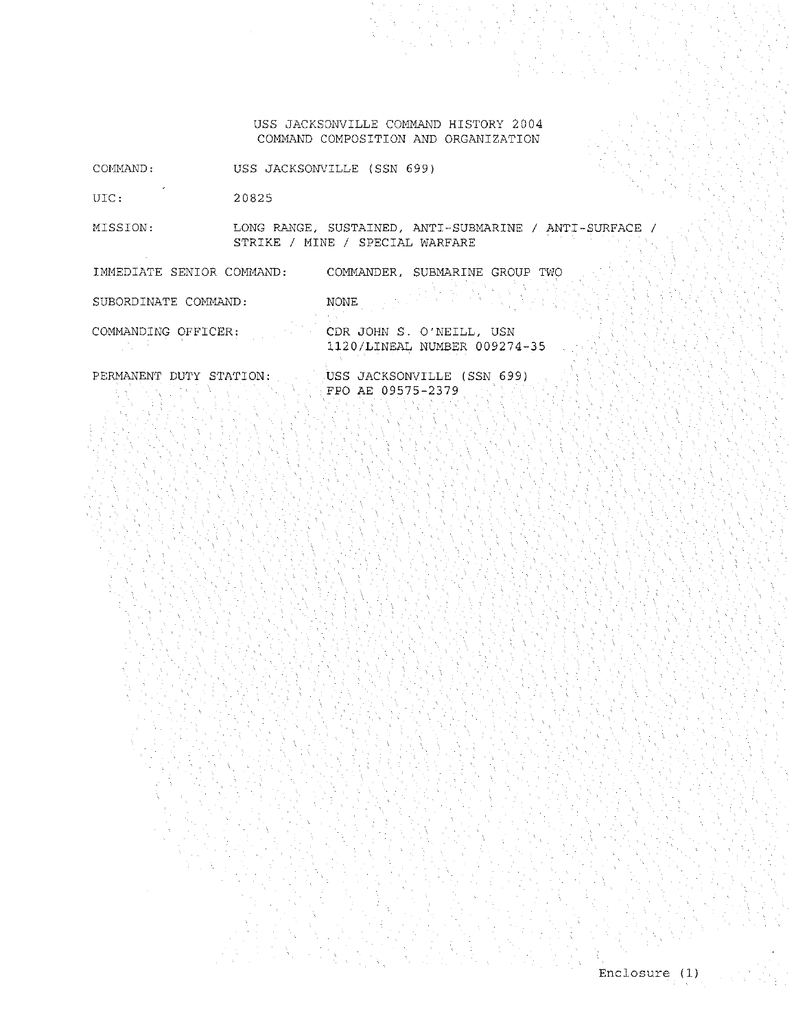USS JACKSONVILLE COMMAND HISTORY 2004 COMMAND COMPOSITION AND ORGANIZATION

COMMAND: USS JACKSONVILLE (SSN 699)

uic: 20825

MISSION: LONG RANGE, SUSTAINED, ANTI-SUBMARINE / ANTI-SURFACE / STRIKE / MINE / SPECIAL WARFARE

IMMEDIATE SENIOR COMMAND: COMMANDER, SUBMARINE GROUP TWO

SUBORDINATE COMMAND:

NONE **No.** 

COMMANDING OFFICER:

CDR JOHN S. O'NEILL, USN 1120/LINEAL NUMBER 009274-35

PERMANENT DUTY STATION:

USS JACKSONVILLE (SSN 699) FPO AE 09575-2379